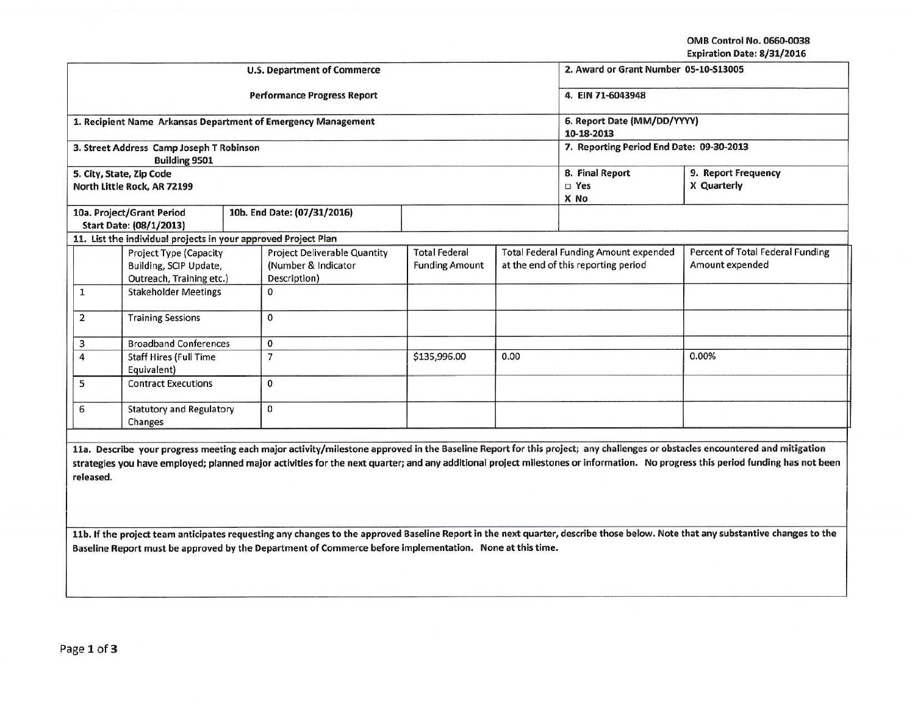OMB Control No. 0660.0038 Expiration Date: 8/31/2016

| <b>U.S. Department of Commerce</b>                                                  |                                                                  |                                                                            |                                                               |                                                                                     |  | 2. Award or Grant Number 05-10-S13005               |                                    |  |
|-------------------------------------------------------------------------------------|------------------------------------------------------------------|----------------------------------------------------------------------------|---------------------------------------------------------------|-------------------------------------------------------------------------------------|--|-----------------------------------------------------|------------------------------------|--|
|                                                                                     |                                                                  |                                                                            | <b>Performance Progress Report</b>                            | 4. EIN 71-6043948                                                                   |  |                                                     |                                    |  |
|                                                                                     |                                                                  |                                                                            | 1. Recipient Name Arkansas Department of Emergency Management | 6. Report Date (MM/DD/YYYY)<br>10-18-2013                                           |  |                                                     |                                    |  |
|                                                                                     | 3. Street Address Camp Joseph T Robinson<br><b>Building 9501</b> |                                                                            |                                                               |                                                                                     |  | 7. Reporting Period End Date: 09-30-2013            |                                    |  |
|                                                                                     | 5. City, State, Zip Code<br>North Little Rock, AR 72199          |                                                                            |                                                               |                                                                                     |  | 8. Final Report<br>D Yes<br>X No                    | 9. Report Frequency<br>X Quarterly |  |
|                                                                                     | 10a. Project/Grant Period<br>Start Date: (08/1/2013)             |                                                                            | 10b. End Date: (07/31/2016)                                   |                                                                                     |  |                                                     |                                    |  |
|                                                                                     | 11. List the individual projects in your approved Project Plan   |                                                                            |                                                               |                                                                                     |  |                                                     |                                    |  |
| <b>Project Type (Capacity</b><br>Building, SCIP Update,<br>Outreach, Training etc.) |                                                                  | <b>Project Deliverable Quantity</b><br>(Number & Indicator<br>Description) | <b>Total Federal</b><br><b>Funding Amount</b>                 | <b>Total Federal Funding Amount expended</b><br>at the end of this reporting period |  | Percent of Total Federal Funding<br>Amount expended |                                    |  |
| 1                                                                                   | <b>Stakeholder Meetings</b>                                      |                                                                            | $\Omega$                                                      |                                                                                     |  |                                                     |                                    |  |
| $\overline{2}$<br><b>Training Sessions</b>                                          |                                                                  | $\mathbf{0}$                                                               |                                                               |                                                                                     |  |                                                     |                                    |  |
| 3                                                                                   | <b>Broadband Conferences</b>                                     |                                                                            | $\mathbf 0$                                                   |                                                                                     |  |                                                     |                                    |  |
| $\overline{4}$<br><b>Staff Hires (Full Time</b><br>Equivalent)                      |                                                                  | $\overline{7}$                                                             | \$135,996.00                                                  | 0.00                                                                                |  | 0.00%                                               |                                    |  |
| 5<br><b>Contract Executions</b>                                                     |                                                                  | $\mathbf{0}$                                                               |                                                               |                                                                                     |  |                                                     |                                    |  |
| <b>Statutory and Regulatory</b><br>6<br>Changes                                     |                                                                  | $\mathbf{0}$                                                               |                                                               |                                                                                     |  |                                                     |                                    |  |

11a. Describe your progress meeting each major activity/milestone approved in the Baseline Report for this project; any challenges or obstacles encountered and mitigation strategies you have employed; planned major activities for the next quarter; and any additional project milestones or information. No progress this period funding has not been released.

11b. If the project team anticipates requesting any changes to the approved Baseline Report in the next quarter, describe those below. Note that any substantive changes to the Baseline Report must be approved by the Department of Commerce before implementation. None at this time.

--~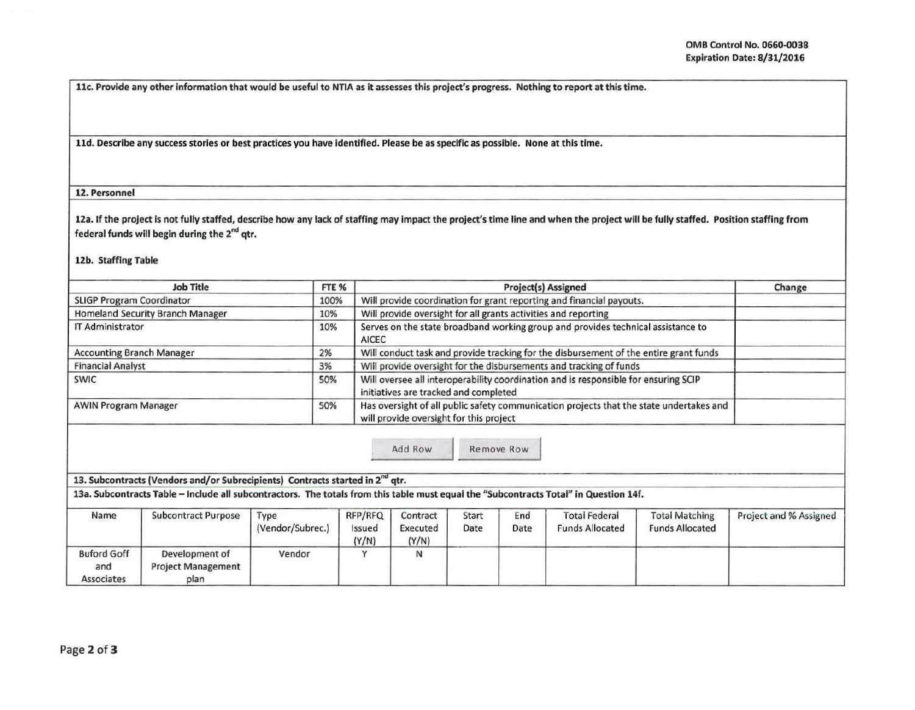llc. Provide any other information that would be useful to NTIA as it assesses this project's progress. Nothing to report at this time.

lld. Describe any success stories or best practices you have Identified. Please be as specific as possible. None at this time.

## 12. Personnel

12a. If the project is not fully staffed, describe how any lack of staffing may impact the project's time line and when the project will be fully staffed. Position staffing from federal funds will begin during the  $2^{nd}$  qtr.

## 12b. Staffing Table

| <b>Job Title</b>                 | FTE % | <b>Project(s) Assigned</b>                                                                                                         | Change |
|----------------------------------|-------|------------------------------------------------------------------------------------------------------------------------------------|--------|
| <b>SLIGP Program Coordinator</b> | 100%  | Will provide coordination for grant reporting and financial payouts.                                                               |        |
| Homeland Security Branch Manager | 10%   | Will provide oversight for all grants activities and reporting                                                                     |        |
| <b>IT Administrator</b>          | 10%   | Serves on the state broadband working group and provides technical assistance to<br><b>AICEC</b>                                   |        |
| <b>Accounting Branch Manager</b> | 2%    | Will conduct task and provide tracking for the disbursement of the entire grant funds                                              |        |
| <b>Financial Analyst</b>         | 3%    | Will provide oversight for the disbursements and tracking of funds                                                                 |        |
| <b>SWIC</b>                      | 50%   | Will oversee all interoperability coordination and is responsible for ensuring SCIP<br>initiatives are tracked and completed       |        |
| <b>AWIN Program Manager</b>      | 50%   | Has oversight of all public safety communication projects that the state undertakes and<br>will provide oversight for this project |        |

13. Subcontracts (Vendors and/or Subrecipients) Contracts started in 2<sup>nd</sup> qtr.

13a. Subcontracts Table -Include all subcontractors. The totals from this table must equal the "Subcontracts Total" in Question 14f.

| Name                                    | <b>Subcontract Purpose</b>                          | Type<br>(Vendor/Subrec.) | RFP/RFQ<br>Issued<br>(Y/N) | Contract<br>Executed<br>(Y/N) | Start<br>Date | End<br>Date | <b>Total Federal</b><br><b>Funds Allocated</b> | <b>Total Matching</b><br><b>Funds Allocated</b> | Project and % Assigned |
|-----------------------------------------|-----------------------------------------------------|--------------------------|----------------------------|-------------------------------|---------------|-------------|------------------------------------------------|-------------------------------------------------|------------------------|
| <b>Buford Goff</b><br>and<br>Associates | Development of<br><b>Project Management</b><br>plan | Vendor                   |                            |                               |               |             |                                                |                                                 |                        |